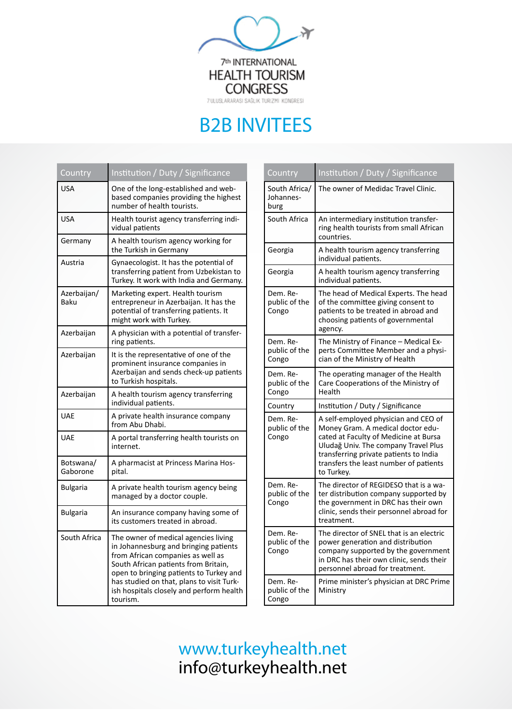7th INTERNATIONAL **HEALTH TOURISM CONGRESS** 

ZULUSLARARASI SAĞLIK TURİZMİ KONGRESİ

# B2B INVITEES

| Country               | Institution / Duty / Significance                                                                                                                                                                                                                                                                          |  | Country                            | Institution / Duty / Significance                                                                                                                                                             |
|-----------------------|------------------------------------------------------------------------------------------------------------------------------------------------------------------------------------------------------------------------------------------------------------------------------------------------------------|--|------------------------------------|-----------------------------------------------------------------------------------------------------------------------------------------------------------------------------------------------|
| <b>USA</b>            | One of the long-established and web-<br>based companies providing the highest<br>number of health tourists.                                                                                                                                                                                                |  | South Africa/<br>Johannes-<br>burg | The owner of Medidac Travel Clinic.                                                                                                                                                           |
| <b>USA</b>            | Health tourist agency transferring indi-<br>vidual patients                                                                                                                                                                                                                                                |  | South Africa                       | An intermediary institution transfer-<br>ring health tourists from small Africa<br>countries.                                                                                                 |
| Germany               | A health tourism agency working for<br>the Turkish in Germany                                                                                                                                                                                                                                              |  | Georgia                            | A health tourism agency transferring                                                                                                                                                          |
| Austria               | Gynaecologist. It has the potential of<br>transferring patient from Uzbekistan to<br>Turkey. It work with India and Germany.                                                                                                                                                                               |  | Georgia                            | individual patients.<br>A health tourism agency transferring<br>individual patients.                                                                                                          |
| Azerbaijan/<br>Baku   | Marketing expert. Health tourism<br>entrepreneur in Azerbaijan. It has the<br>potential of transferring patients. It<br>might work with Turkey.                                                                                                                                                            |  | Dem. Re-<br>public of the<br>Congo | The head of Medical Experts. The he<br>of the committee giving consent to<br>patients to be treated in abroad and<br>choosing patients of governmental                                        |
| Azerbaijan            | A physician with a potential of transfer-<br>ring patients.                                                                                                                                                                                                                                                |  | Dem. Re-                           | agency.<br>The Ministry of Finance - Medical E<br>perts Committee Member and a phy<br>cian of the Ministry of Health                                                                          |
| Azerbaijan            | It is the representative of one of the<br>prominent insurance companies in<br>Azerbaijan and sends check-up patients<br>to Turkish hospitals.                                                                                                                                                              |  | public of the<br>Congo             |                                                                                                                                                                                               |
|                       |                                                                                                                                                                                                                                                                                                            |  | Dem. Re-<br>public of the<br>Congo | The operating manager of the Healt<br>Care Cooperations of the Ministry o<br>Health                                                                                                           |
| Azerbaijan            | A health tourism agency transferring<br>individual patients.                                                                                                                                                                                                                                               |  | Country                            | Institution / Duty / Significance                                                                                                                                                             |
| <b>UAE</b>            | A private health insurance company<br>from Abu Dhabi.                                                                                                                                                                                                                                                      |  | Dem. Re-<br>public of the          | A self-employed physician and CEO<br>Money Gram. A medical doctor edu<br>cated at Faculty of Medicine at Burs<br>Uludağ Univ. The company Travel Pl<br>transferring private patients to India |
| <b>UAE</b>            | A portal transferring health tourists on<br>internet.                                                                                                                                                                                                                                                      |  | Congo                              |                                                                                                                                                                                               |
| Botswana/<br>Gaborone | A pharmacist at Princess Marina Hos-<br>pital.                                                                                                                                                                                                                                                             |  |                                    | transfers the least number of patien<br>to Turkey.                                                                                                                                            |
| <b>Bulgaria</b>       | A private health tourism agency being<br>managed by a doctor couple.                                                                                                                                                                                                                                       |  | Dem. Re-<br>public of the<br>Congo | The director of REGIDESO that is a v<br>ter distribution company supported<br>the government in DRC has their ow                                                                              |
| <b>Bulgaria</b>       | An insurance company having some of<br>its customers treated in abroad.                                                                                                                                                                                                                                    |  |                                    | clinic, sends their personnel abroad<br>treatment.                                                                                                                                            |
| South Africa          | The owner of medical agencies living<br>in Johannesburg and bringing patients<br>from African companies as well as<br>South African patients from Britain,<br>open to bringing patients to Turkey and<br>has studied on that, plans to visit Turk-<br>ish hospitals closely and perform health<br>tourism. |  | Dem. Re-<br>public of the<br>Congo | The director of SNEL that is an elect<br>power generation and distribution<br>company supported by the governn<br>in DRC has their own clinic, sends th<br>personnel abroad for treatment.    |
|                       |                                                                                                                                                                                                                                                                                                            |  | Dem. Re-<br>public of the<br>Congo | Prime minister's physician at DRC Pr<br>Ministry                                                                                                                                              |

| Country                            | Institution / Duty / Significance                                                                                                                                                                                                                            |
|------------------------------------|--------------------------------------------------------------------------------------------------------------------------------------------------------------------------------------------------------------------------------------------------------------|
| South Africa/<br>Johannes-<br>burg | The owner of Medidac Travel Clinic.                                                                                                                                                                                                                          |
| South Africa                       | An intermediary institution transfer-<br>ring health tourists from small African<br>countries.                                                                                                                                                               |
| Georgia                            | A health tourism agency transferring<br>individual patients.                                                                                                                                                                                                 |
| Georgia                            | A health tourism agency transferring<br>individual patients.                                                                                                                                                                                                 |
| Dem. Re-<br>public of the<br>Congo | The head of Medical Experts. The head<br>of the committee giving consent to<br>patients to be treated in abroad and<br>choosing patients of governmental<br>agency.                                                                                          |
| Dem. Re-<br>public of the<br>Congo | The Ministry of Finance - Medical Ex-<br>perts Committee Member and a physi-<br>cian of the Ministry of Health                                                                                                                                               |
| Dem. Re-<br>public of the<br>Congo | The operating manager of the Health<br>Care Cooperations of the Ministry of<br>Health                                                                                                                                                                        |
| Country                            | Institution / Duty / Significance                                                                                                                                                                                                                            |
| Dem. Re-<br>public of the<br>Congo | A self-employed physician and CEO of<br>Money Gram. A medical doctor edu-<br>cated at Faculty of Medicine at Bursa<br>Uludağ Univ. The company Travel Plus<br>transferring private patients to India<br>transfers the least number of patients<br>to Turkey. |
| Dem. Re-<br>public of the<br>Congo | The director of REGIDESO that is a wa-<br>ter distribution company supported by<br>the government in DRC has their own<br>clinic, sends their personnel abroad for<br>treatment.                                                                             |
| Dem. Re-<br>public of the<br>Congo | The director of SNEL that is an electric<br>power generation and distribution<br>company supported by the government<br>in DRC has their own clinic, sends their<br>personnel abroad for treatment.                                                          |
| Dem. Re-<br>public of the<br>Congo | Prime minister's physician at DRC Prime<br>Ministry                                                                                                                                                                                                          |

www.turkeyhealth.net info@turkeyhealth.net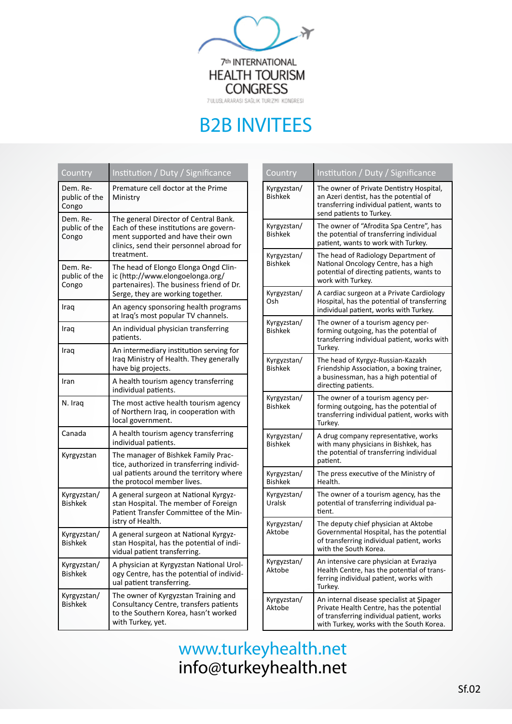7th INTERNATIONAL **HEALTH TOURISM CONGRESS** ZULUSLARARASI SAĞLIK TURİZMİ KONGRESİ

## B2B INVITEES

| Country                            | Institution / Duty / Significance                                                                                                                                |                                         | Country                       | Institution / Duty / Significance                                                                                                                                      |
|------------------------------------|------------------------------------------------------------------------------------------------------------------------------------------------------------------|-----------------------------------------|-------------------------------|------------------------------------------------------------------------------------------------------------------------------------------------------------------------|
| Dem. Re-<br>public of the<br>Congo | Premature cell doctor at the Prime<br>Ministry                                                                                                                   |                                         | Kyrgyzstan/<br><b>Bishkek</b> | The owner of Private Dentistry Hospit<br>an Azeri dentist, has the potential of<br>transferring individual patient, wants<br>send patients to Turkey.                  |
| Dem. Re-<br>public of the<br>Congo | The general Director of Central Bank.<br>Each of these institutions are govern-<br>ment supported and have their own<br>clinics, send their personnel abroad for |                                         | Kyrgyzstan/<br><b>Bishkek</b> | The owner of "Afrodita Spa Centre", h<br>the potential of transferring individua<br>patient, wants to work with Turkey.                                                |
| Dem. Re-<br>public of the<br>Congo | treatment.<br>The head of Elongo Elonga Ongd Clin-<br>ic (http://www.elongoelonga.org/<br>partenaires). The business friend of Dr.                               |                                         | Kyrgyzstan/<br><b>Bishkek</b> | The head of Radiology Department of<br>National Oncology Centre, has a high<br>potential of directing patients, wants<br>work with Turkey.                             |
| Iraq                               | Serge, they are working together.<br>An agency sponsoring health programs                                                                                        | Osh<br><b>Bishkek</b><br><b>Bishkek</b> | Kyrgyzstan/                   | A cardiac surgeon at a Private Cardiolo<br>Hospital, has the potential of transfer<br>individual patient, works with Turkey.                                           |
| Iraq                               | at Iraq's most popular TV channels.<br>An individual physician transferring<br>patients.                                                                         |                                         | Kyrgyzstan/                   | The owner of a tourism agency per-<br>forming outgoing, has the potential of<br>transferring individual patient, works<br>Turkey.                                      |
| Iraq                               | An intermediary institution serving for<br>Iraq Ministry of Health. They generally<br>have big projects.                                                         |                                         | Kyrgyzstan/                   | The head of Kyrgyz-Russian-Kazakh<br>Friendship Association, a boxing train                                                                                            |
| Iran                               | A health tourism agency transferring<br>individual patients.                                                                                                     |                                         |                               | a businessman, has a high potential o<br>directing patients.                                                                                                           |
| N. Iraq                            | The most active health tourism agency<br>of Northern Irag, in cooperation with<br>local government.                                                              |                                         | Kyrgyzstan/<br><b>Bishkek</b> | The owner of a tourism agency per-<br>forming outgoing, has the potential of<br>transferring individual patient, works<br>Turkey.                                      |
| Canada                             | A health tourism agency transferring<br>individual patients.                                                                                                     |                                         | Kyrgyzstan/<br><b>Bishkek</b> | A drug company representative, work<br>with many physicians in Bishkek, has<br>the potential of transferring individua<br>patient.                                     |
| Kyrgyzstan                         | The manager of Bishkek Family Prac-<br>tice, authorized in transferring individ-<br>ual patients around the territory where<br>the protocol member lives.        |                                         |                               |                                                                                                                                                                        |
|                                    |                                                                                                                                                                  |                                         | Kyrgyzstan/<br><b>Bishkek</b> | The press executive of the Ministry of<br>Health.                                                                                                                      |
| Kyrgyzstan/<br><b>Bishkek</b>      | A general surgeon at National Kyrgyz-<br>stan Hospital. The member of Foreign<br>Patient Transfer Committee of the Min-                                          |                                         | Kyrgyzstan/<br>Uralsk         | The owner of a tourism agency, has th<br>potential of transferring individual pa-<br>tient.                                                                            |
| Kyrgyzstan/<br><b>Bishkek</b>      | istry of Health.<br>A general surgeon at National Kyrgyz-<br>stan Hospital, has the potential of indi-<br>vidual patient transferring.                           |                                         | Kyrgyzstan/<br>Aktobe         | The deputy chief physician at Aktobe<br>Governmental Hospital, has the poter<br>of transferring individual patient, wor<br>with the South Korea.                       |
| Kyrgyzstan/<br><b>Bishkek</b>      | A physician at Kyrgyzstan National Urol-<br>ogy Centre, has the potential of individ-<br>ual patient transferring.                                               |                                         | Kyrgyzstan/<br>Aktobe         | An intensive care physician at Evraziya<br>Health Centre, has the potential of tra<br>ferring individual patient, works with<br>Turkey.                                |
| Kyrgyzstan/<br><b>Bishkek</b>      | The owner of Kyrgyzstan Training and<br>Consultancy Centre, transfers patients<br>to the Southern Korea, hasn't worked<br>with Turkey, yet.                      |                                         | Kyrgyzstan/<br>Aktobe         | An internal disease specialist at Şipage<br>Private Health Centre, has the potenti<br>of transferring individual patient, wor<br>with Turkey, works with the South Kor |

| Country                       | Institution / Duty / Significance                                                                                                                                              |
|-------------------------------|--------------------------------------------------------------------------------------------------------------------------------------------------------------------------------|
| Kyrgyzstan/<br><b>Bishkek</b> | The owner of Private Dentistry Hospital,<br>an Azeri dentist, has the potential of<br>transferring individual patient, wants to<br>send patients to Turkey.                    |
| Kyrgyzstan/<br><b>Bishkek</b> | The owner of "Afrodita Spa Centre", has<br>the potential of transferring individual<br>patient, wants to work with Turkey.                                                     |
| Kyrgyzstan/<br><b>Bishkek</b> | The head of Radiology Department of<br>National Oncology Centre, has a high<br>potential of directing patients, wants to<br>work with Turkey.                                  |
| Kyrgyzstan/<br>Osh            | A cardiac surgeon at a Private Cardiology<br>Hospital, has the potential of transferring<br>individual patient, works with Turkey.                                             |
| Kyrgyzstan/<br><b>Bishkek</b> | The owner of a tourism agency per-<br>forming outgoing, has the potential of<br>transferring individual patient, works with<br>Turkey.                                         |
| Kyrgyzstan/<br><b>Bishkek</b> | The head of Kyrgyz-Russian-Kazakh<br>Friendship Association, a boxing trainer,<br>a businessman, has a high potential of<br>directing patients.                                |
| Kyrgyzstan/<br><b>Bishkek</b> | The owner of a tourism agency per-<br>forming outgoing, has the potential of<br>transferring individual patient, works with<br>Turkey.                                         |
| Kyrgyzstan/<br><b>Bishkek</b> | A drug company representative, works<br>with many physicians in Bishkek, has<br>the potential of transferring individual<br>patient.                                           |
| Kyrgyzstan/<br><b>Bishkek</b> | The press executive of the Ministry of<br>Health.                                                                                                                              |
| Kyrgyzstan/<br>Uralsk         | The owner of a tourism agency, has the<br>potential of transferring individual pa-<br>tient.                                                                                   |
| Kyrgyzstan/<br>Aktobe         | The deputy chief physician at Aktobe<br>Governmental Hospital, has the potential<br>of transferring individual patient, works<br>with the South Korea.                         |
| Kyrgyzstan/<br>Aktobe         | An intensive care physician at Evraziya<br>Health Centre, has the potential of trans-<br>ferring individual patient, works with<br>Turkey.                                     |
| Kyrgyzstan/<br>Aktobe         | An internal disease specialist at Şipager<br>Private Health Centre, has the potential<br>of transferring individual patient, works<br>with Turkey, works with the South Korea. |

www.turkeyhealth.net info@turkeyhealth.net